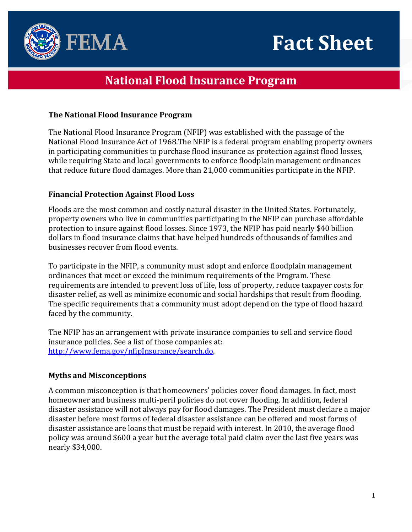



# **National Flood Insurance Program**

## **The National Flood Insurance Program**

The National Flood Insurance Program (NFIP) was established with the passage of the National Flood Insurance Act of 1968.The NFIP is a federal program enabling property owners in participating communities to purchase flood insurance as protection against flood losses, while requiring State and local governments to enforce floodplain management ordinances that reduce future flood damages. More than 21,000 communities participate in the NFIP.

# **Financial Protection Against Flood Loss**

Floods are the most common and costly natural disaster in the United States. Fortunately, property owners who live in communities participating in the NFIP can purchase affordable protection to insure against flood losses. Since 1973, the NFIP has paid nearly \$40 billion dollars in flood insurance claims that have helped hundreds of thousands of families and businesses recover from flood events.

To participate in the NFIP, a community must adopt and enforce floodplain management ordinances that meet or exceed the minimum requirements of the Program. These requirements are intended to prevent loss of life, loss of property, reduce taxpayer costs for disaster relief, as well as minimize economic and social hardships that result from flooding. The specific requirements that a community must adopt depend on the type of flood hazard faced by the community.

The NFIP has an arrangement with private insurance companies to sell and service flood insurance policies. See a list of those companies at: [http://www.fema.gov/nfipInsurance/search.do.](http://www.fema.gov/nfipInsurance/search.do)

# **Myths and Misconceptions**

A common misconception is that homeowners' policies cover flood damages. In fact, most homeowner and business multi-peril policies do not cover flooding. In addition, federal disaster assistance will not always pay for flood damages. The President must declare a major disaster before most forms of federal disaster assistance can be offered and most forms of disaster assistance are loans that must be repaid with interest. In 2010, the average flood policy was around \$600 a year but the average total paid claim over the last five years was nearly \$34,000.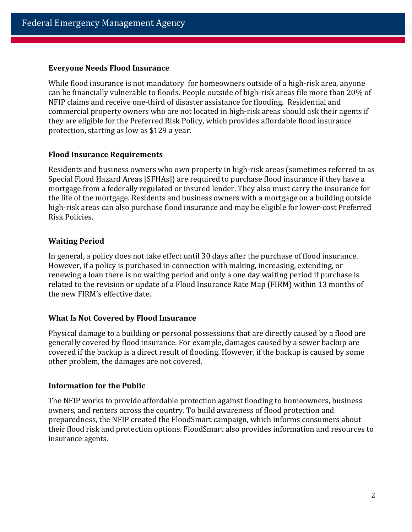#### **Everyone Needs Flood Insurance**

While flood insurance is not mandatory for homeowners outside of a high-risk area, anyone can be financially vulnerable to floods**.** People outside of high-risk areas file more than 20% of NFIP claims and receive one-third of disaster assistance for flooding. Residential and commercial property owners who are not located in high-risk areas should ask their agents if they are eligible for the Preferred Risk Policy, which provides affordable flood insurance protection, starting as low as \$129 a year.

## **Flood Insurance Requirements**

Residents and business owners who own property in high-risk areas (sometimes referred to as Special Flood Hazard Areas [SFHAs]) are required to purchase flood insurance if they have a mortgage from a federally regulated or insured lender. They also must carry the insurance for the life of the mortgage. Residents and business owners with a mortgage on a building outside high-risk areas can also purchase flood insurance and may be eligible for lower-cost Preferred Risk Policies.

## **Waiting Period**

In general, a policy does not take effect until 30 days after the purchase of flood insurance. However, if a policy is purchased in connection with making, increasing, extending, or renewing a loan there is no waiting period and only a one day waiting period if purchase is related to the revision or update of a Flood Insurance Rate Map (FIRM) within 13 months of the new FIRM's effective date.

## **What Is Not Covered by Flood Insurance**

Physical damage to a building or personal possessions that are directly caused by a flood are generally covered by flood insurance. For example, damages caused by a sewer backup are covered if the backup is a direct result of flooding. However, if the backup is caused by some other problem, the damages are not covered.

## **Information for the Public**

The NFIP works to provide affordable protection against flooding to homeowners, business owners, and renters across the country. To build awareness of flood protection and preparedness, the NFIP created the FloodSmart campaign, which informs consumers about their flood risk and protection options. FloodSmart also provides information and resources to insurance agents.